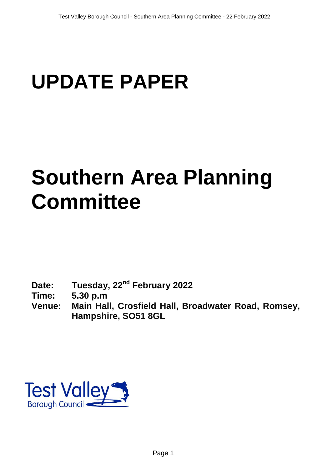# **UPDATE PAPER**

## **Southern Area Planning Committee**

- **Date: Tuesday, 22nd February 2022**
- **Time: 5.30 p.m**
- **Venue: Main Hall, Crosfield Hall, Broadwater Road, Romsey, Hampshire, SO51 8GL**

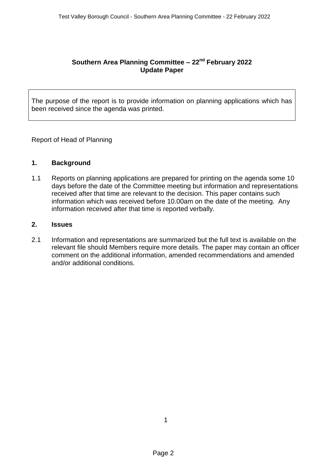### **Southern Area Planning Committee – 22nd February 2022 Update Paper**

The purpose of the report is to provide information on planning applications which has been received since the agenda was printed.

Report of Head of Planning

#### **1. Background**

1.1 Reports on planning applications are prepared for printing on the agenda some 10 days before the date of the Committee meeting but information and representations received after that time are relevant to the decision. This paper contains such information which was received before 10.00am on the date of the meeting. Any information received after that time is reported verbally.

#### **2. Issues**

2.1 Information and representations are summarized but the full text is available on the relevant file should Members require more details. The paper may contain an officer comment on the additional information, amended recommendations and amended and/or additional conditions.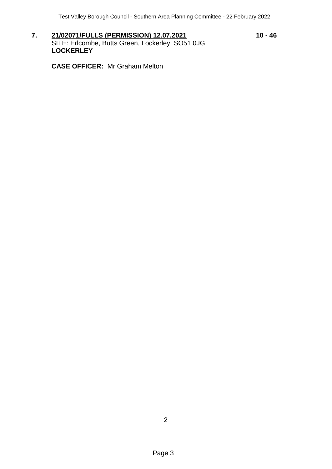7. **21/02071/FULLS (PERMISSION) 12.07.2021** 10 - 46 SITE: Erlcombe, Butts Green, Lockerley, SO51 0JG **LOCKERLEY**

**CASE OFFICER:** Mr Graham Melton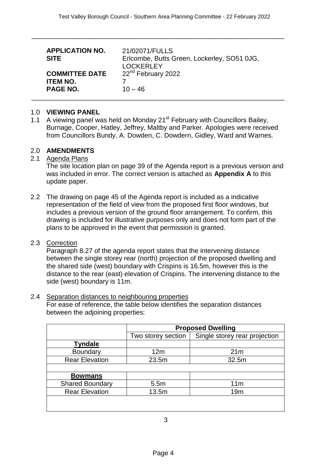| <b>APPLICATION NO.</b><br><b>SITE</b>                       | 21/02071/FULLS<br>Erlcombe, Butts Green, Lockerley, SO51 0JG,<br><b>LOCKERLEY</b> |
|-------------------------------------------------------------|-----------------------------------------------------------------------------------|
| <b>COMMITTEE DATE</b><br><b>ITEM NO.</b><br><b>PAGE NO.</b> | 22 <sup>nd</sup> February 2022<br>$10 - 46$                                       |

\_\_\_\_\_\_\_\_\_\_\_\_\_\_\_\_\_\_\_\_\_\_\_\_\_\_\_\_\_\_\_\_\_\_\_\_\_\_\_\_\_\_\_\_\_\_\_\_\_\_\_\_\_\_\_\_\_\_\_\_\_\_\_\_\_\_\_\_

#### 1.0 **VIEWING PANEL**

1.1 A viewing panel was held on Monday 21<sup>st</sup> February with Councillors Bailey, Burnage, Cooper, Hatley, Jeffrey, Maltby and Parker. Apologies were received from Councillors Bundy, A. Dowden, C. Dowdern, Gidley, Ward and Warnes.

#### 2.0 **AMENDMENTS**

2.1 Agenda Plans

The site location plan on page 39 of the Agenda report is a previous version and was included in error. The correct version is attached as **Appendix A** to this update paper.

2.2 The drawing on page 45 of the Agenda report is included as a indicative representation of the field of view from the proposed first floor windows, but includes a previous version of the ground floor arrangement. To confirm, this drawing is included for illustrative purposes only and does not form part of the plans to be approved in the event that permission is granted.

#### 2.3 Correction

Paragraph 8.27 of the agenda report states that the intervening distance between the single storey rear (north) projection of the proposed dwelling and the shared side (west) boundary with Crispins is 16.5m, however this is the distance to the rear (east) elevation of Crispins. The intervening distance to the side (west) boundary is 11m.

#### 2.4 Separation distances to neighbouring properties

For ease of reference, the table below identifies the separation distances between the adjoining properties:

|                        | <b>Proposed Dwelling</b> |                               |  |
|------------------------|--------------------------|-------------------------------|--|
|                        | Two storey section       | Single storey rear projection |  |
| <b>Tyndale</b>         |                          |                               |  |
| Boundary               | 12m                      | 21 <sub>m</sub>               |  |
| <b>Rear Elevation</b>  | 23.5m                    | 32.5m                         |  |
|                        |                          |                               |  |
| <b>Bowmans</b>         |                          |                               |  |
| <b>Shared Boundary</b> | 5.5m                     | 11 <sub>m</sub>               |  |
| <b>Rear Elevation</b>  | 13.5m                    | 19 <sub>m</sub>               |  |
|                        |                          |                               |  |
|                        |                          |                               |  |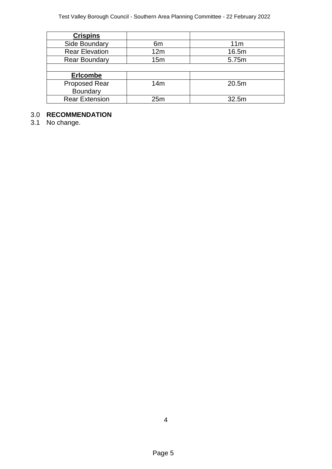| <b>Crispins</b>       |     |                 |
|-----------------------|-----|-----------------|
| Side Boundary         | 6m  | 11 <sub>m</sub> |
| <b>Rear Elevation</b> | 12m | 16.5m           |
| <b>Rear Boundary</b>  | 15m | 5.75m           |
|                       |     |                 |
| <b>Erlcombe</b>       |     |                 |
| <b>Proposed Rear</b>  | 14m | 20.5m           |
| Boundary              |     |                 |
| <b>Rear Extension</b> | 25m | 32.5m           |

### 3.0 **RECOMMENDATION**

3.1 No change.